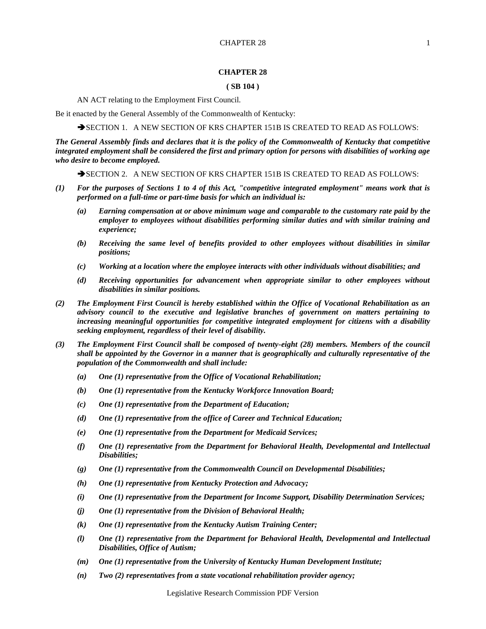# **( SB 104 )**

AN ACT relating to the Employment First Council.

Be it enacted by the General Assembly of the Commonwealth of Kentucky:

SECTION 1. A NEW SECTION OF KRS CHAPTER 151B IS CREATED TO READ AS FOLLOWS:

*The General Assembly finds and declares that it is the policy of the Commonwealth of Kentucky that competitive integrated employment shall be considered the first and primary option for persons with disabilities of working age who desire to become employed.*

SECTION 2. A NEW SECTION OF KRS CHAPTER 151B IS CREATED TO READ AS FOLLOWS:

- *(1) For the purposes of Sections 1 to 4 of this Act, "competitive integrated employment" means work that is performed on a full-time or part-time basis for which an individual is:*
	- *(a) Earning compensation at or above minimum wage and comparable to the customary rate paid by the employer to employees without disabilities performing similar duties and with similar training and experience;*
	- *(b) Receiving the same level of benefits provided to other employees without disabilities in similar positions;*
	- *(c) Working at a location where the employee interacts with other individuals without disabilities; and*
	- *(d) Receiving opportunities for advancement when appropriate similar to other employees without disabilities in similar positions.*
- *(2) The Employment First Council is hereby established within the Office of Vocational Rehabilitation as an advisory council to the executive and legislative branches of government on matters pertaining to increasing meaningful opportunities for competitive integrated employment for citizens with a disability seeking employment, regardless of their level of disability.*
- *(3) The Employment First Council shall be composed of twenty-eight (28) members. Members of the council shall be appointed by the Governor in a manner that is geographically and culturally representative of the population of the Commonwealth and shall include:*
	- *(a) One (1) representative from the Office of Vocational Rehabilitation;*
	- *(b) One (1) representative from the Kentucky Workforce Innovation Board;*
	- *(c) One (1) representative from the Department of Education;*
	- *(d) One (1) representative from the office of Career and Technical Education;*
	- *(e) One (1) representative from the Department for Medicaid Services;*
	- *(f) One (1) representative from the Department for Behavioral Health, Developmental and Intellectual Disabilities;*
	- *(g) One (1) representative from the Commonwealth Council on Developmental Disabilities;*
	- *(h) One (1) representative from Kentucky Protection and Advocacy;*
	- *(i) One (1) representative from the Department for Income Support, Disability Determination Services;*
	- *(j) One (1) representative from the Division of Behavioral Health;*
	- *(k) One (1) representative from the Kentucky Autism Training Center;*
	- *(l) One (1) representative from the Department for Behavioral Health, Developmental and Intellectual Disabilities, Office of Autism;*
	- *(m) One (1) representative from the University of Kentucky Human Development Institute;*
	- *(n) Two (2) representatives from a state vocational rehabilitation provider agency;*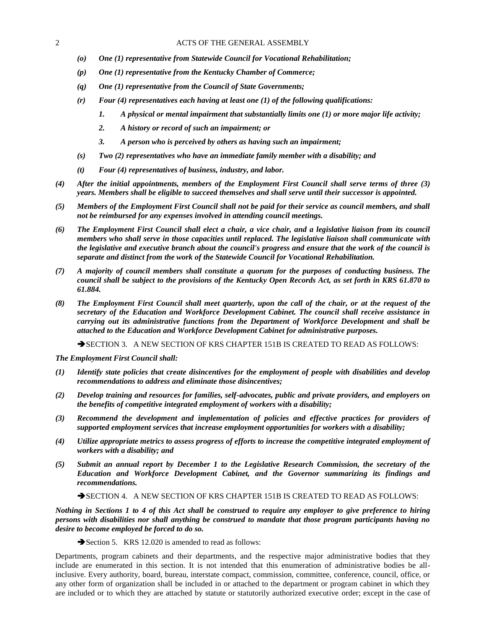- *(o) One (1) representative from Statewide Council for Vocational Rehabilitation;*
- *(p) One (1) representative from the Kentucky Chamber of Commerce;*
- *(q) One (1) representative from the Council of State Governments;*
- *(r) Four (4) representatives each having at least one (1) of the following qualifications:*
	- *1. A physical or mental impairment that substantially limits one (1) or more major life activity;*
	- *2. A history or record of such an impairment; or*
	- *3. A person who is perceived by others as having such an impairment;*
- *(s) Two (2) representatives who have an immediate family member with a disability; and*
- *(t) Four (4) representatives of business, industry, and labor.*
- *(4) After the initial appointments, members of the Employment First Council shall serve terms of three (3) years. Members shall be eligible to succeed themselves and shall serve until their successor is appointed.*
- *(5) Members of the Employment First Council shall not be paid for their service as council members, and shall not be reimbursed for any expenses involved in attending council meetings.*
- *(6) The Employment First Council shall elect a chair, a vice chair, and a legislative liaison from its council members who shall serve in those capacities until replaced. The legislative liaison shall communicate with the legislative and executive branch about the council's progress and ensure that the work of the council is separate and distinct from the work of the Statewide Council for Vocational Rehabilitation.*
- *(7) A majority of council members shall constitute a quorum for the purposes of conducting business. The council shall be subject to the provisions of the Kentucky Open Records Act, as set forth in KRS 61.870 to 61.884.*
- *(8) The Employment First Council shall meet quarterly, upon the call of the chair, or at the request of the secretary of the Education and Workforce Development Cabinet. The council shall receive assistance in carrying out its administrative functions from the Department of Workforce Development and shall be attached to the Education and Workforce Development Cabinet for administrative purposes.*

SECTION 3. A NEW SECTION OF KRS CHAPTER 151B IS CREATED TO READ AS FOLLOWS:

*The Employment First Council shall:*

- *(1) Identify state policies that create disincentives for the employment of people with disabilities and develop recommendations to address and eliminate those disincentives;*
- *(2) Develop training and resources for families, self-advocates, public and private providers, and employers on the benefits of competitive integrated employment of workers with a disability;*
- *(3) Recommend the development and implementation of policies and effective practices for providers of supported employment services that increase employment opportunities for workers with a disability;*
- *(4) Utilize appropriate metrics to assess progress of efforts to increase the competitive integrated employment of workers with a disability; and*
- *(5) Submit an annual report by December 1 to the Legislative Research Commission, the secretary of the Education and Workforce Development Cabinet, and the Governor summarizing its findings and recommendations.*

SECTION 4. A NEW SECTION OF KRS CHAPTER 151B IS CREATED TO READ AS FOLLOWS:

*Nothing in Sections 1 to 4 of this Act shall be construed to require any employer to give preference to hiring persons with disabilities nor shall anything be construed to mandate that those program participants having no desire to become employed be forced to do so.*

Section 5. KRS 12.020 is amended to read as follows:

Departments, program cabinets and their departments, and the respective major administrative bodies that they include are enumerated in this section. It is not intended that this enumeration of administrative bodies be allinclusive. Every authority, board, bureau, interstate compact, commission, committee, conference, council, office, or any other form of organization shall be included in or attached to the department or program cabinet in which they are included or to which they are attached by statute or statutorily authorized executive order; except in the case of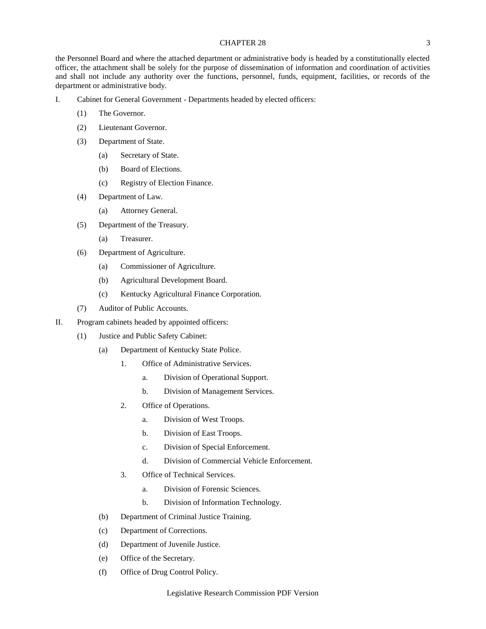the Personnel Board and where the attached department or administrative body is headed by a constitutionally elected officer, the attachment shall be solely for the purpose of dissemination of information and coordination of activities and shall not include any authority over the functions, personnel, funds, equipment, facilities, or records of the department or administrative body.

- I. Cabinet for General Government Departments headed by elected officers:
	- (1) The Governor.
	- (2) Lieutenant Governor.
	- (3) Department of State.
		- (a) Secretary of State.
		- (b) Board of Elections.
		- (c) Registry of Election Finance.
	- (4) Department of Law.
		- (a) Attorney General.
	- (5) Department of the Treasury.
		- (a) Treasurer.
	- (6) Department of Agriculture.
		- (a) Commissioner of Agriculture.
		- (b) Agricultural Development Board.
		- (c) Kentucky Agricultural Finance Corporation.
	- (7) Auditor of Public Accounts.
- II. Program cabinets headed by appointed officers:
	- (1) Justice and Public Safety Cabinet:
		- (a) Department of Kentucky State Police.
			- 1. Office of Administrative Services.
				- a. Division of Operational Support.
				- b. Division of Management Services.
			- 2. Office of Operations.
				- a. Division of West Troops.
				- b. Division of East Troops.
				- c. Division of Special Enforcement.
				- d. Division of Commercial Vehicle Enforcement.
			- 3. Office of Technical Services.
				- a. Division of Forensic Sciences.
				- b. Division of Information Technology.
		- (b) Department of Criminal Justice Training.
		- (c) Department of Corrections.
		- (d) Department of Juvenile Justice.
		- (e) Office of the Secretary.
		- (f) Office of Drug Control Policy.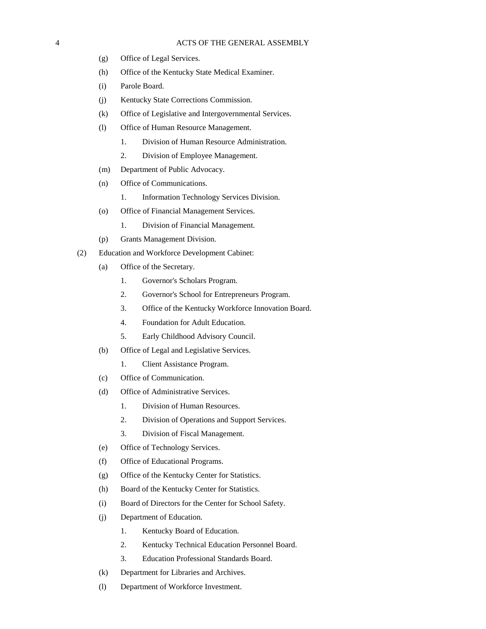- (g) Office of Legal Services.
- (h) Office of the Kentucky State Medical Examiner.
- (i) Parole Board.
- (j) Kentucky State Corrections Commission.
- (k) Office of Legislative and Intergovernmental Services.
- (l) Office of Human Resource Management.
	- 1. Division of Human Resource Administration.
	- 2. Division of Employee Management.
- (m) Department of Public Advocacy.
- (n) Office of Communications.
	- 1. Information Technology Services Division.
- (o) Office of Financial Management Services.
	- 1. Division of Financial Management.
- (p) Grants Management Division.
- (2) Education and Workforce Development Cabinet:
	- (a) Office of the Secretary.
		- 1. Governor's Scholars Program.
		- 2. Governor's School for Entrepreneurs Program.
		- 3. Office of the Kentucky Workforce Innovation Board.
		- 4. Foundation for Adult Education.
		- 5. Early Childhood Advisory Council.
	- (b) Office of Legal and Legislative Services.
		- 1. Client Assistance Program.
	- (c) Office of Communication.
	- (d) Office of Administrative Services.
		- 1. Division of Human Resources.
		- 2. Division of Operations and Support Services.
		- 3. Division of Fiscal Management.
	- (e) Office of Technology Services.
	- (f) Office of Educational Programs.
	- (g) Office of the Kentucky Center for Statistics.
	- (h) Board of the Kentucky Center for Statistics.
	- (i) Board of Directors for the Center for School Safety.
	- (j) Department of Education.
		- 1. Kentucky Board of Education.
		- 2. Kentucky Technical Education Personnel Board.
		- 3. Education Professional Standards Board.
	- (k) Department for Libraries and Archives.
	- (l) Department of Workforce Investment.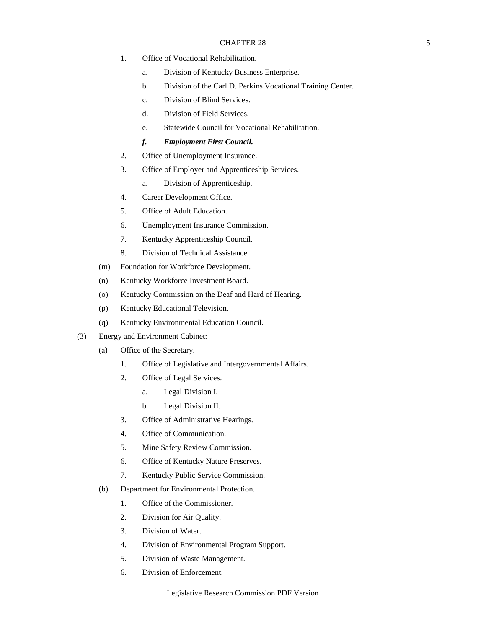- 1. Office of Vocational Rehabilitation.
	- a. Division of Kentucky Business Enterprise.
	- b. Division of the Carl D. Perkins Vocational Training Center.
	- c. Division of Blind Services.
	- d. Division of Field Services.
	- e. Statewide Council for Vocational Rehabilitation.
	- *f. Employment First Council.*
- 2. Office of Unemployment Insurance.
- 3. Office of Employer and Apprenticeship Services.
	- a. Division of Apprenticeship.
- 4. Career Development Office.
- 5. Office of Adult Education.
- 6. Unemployment Insurance Commission.
- 7. Kentucky Apprenticeship Council.
- 8. Division of Technical Assistance.
- (m) Foundation for Workforce Development.
- (n) Kentucky Workforce Investment Board.
- (o) Kentucky Commission on the Deaf and Hard of Hearing.
- (p) Kentucky Educational Television.
- (q) Kentucky Environmental Education Council.
- (3) Energy and Environment Cabinet:
	- (a) Office of the Secretary.
		- 1. Office of Legislative and Intergovernmental Affairs.
		- 2. Office of Legal Services.
			- a. Legal Division I.
			- b. Legal Division II.
		- 3. Office of Administrative Hearings.
		- 4. Office of Communication.
		- 5. Mine Safety Review Commission.
		- 6. Office of Kentucky Nature Preserves.
		- 7. Kentucky Public Service Commission.
	- (b) Department for Environmental Protection.
		- 1. Office of the Commissioner.
		- 2. Division for Air Quality.
		- 3. Division of Water.
		- 4. Division of Environmental Program Support.
		- 5. Division of Waste Management.
		- 6. Division of Enforcement.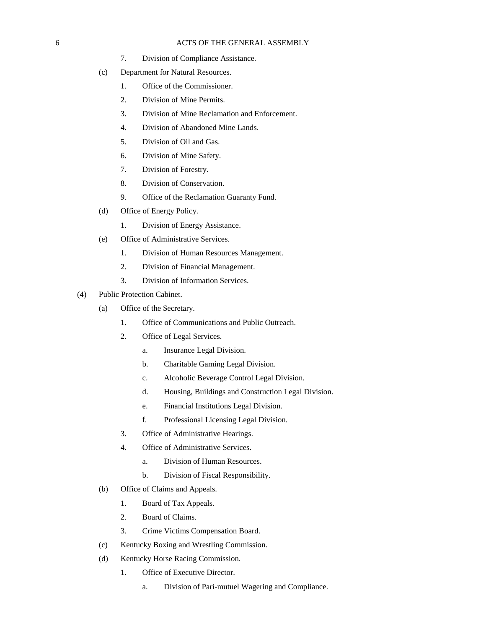- 7. Division of Compliance Assistance.
- (c) Department for Natural Resources.
	- 1. Office of the Commissioner.
	- 2. Division of Mine Permits.
	- 3. Division of Mine Reclamation and Enforcement.
	- 4. Division of Abandoned Mine Lands.
	- 5. Division of Oil and Gas.
	- 6. Division of Mine Safety.
	- 7. Division of Forestry.
	- 8. Division of Conservation.
	- 9. Office of the Reclamation Guaranty Fund.
- (d) Office of Energy Policy.
	- 1. Division of Energy Assistance.
- (e) Office of Administrative Services.
	- 1. Division of Human Resources Management.
	- 2. Division of Financial Management.
	- 3. Division of Information Services.
- (4) Public Protection Cabinet.
	- (a) Office of the Secretary.
		- 1. Office of Communications and Public Outreach.
		- 2. Office of Legal Services.
			- a. Insurance Legal Division.
			- b. Charitable Gaming Legal Division.
			- c. Alcoholic Beverage Control Legal Division.
			- d. Housing, Buildings and Construction Legal Division.
			- e. Financial Institutions Legal Division.
			- f. Professional Licensing Legal Division.
		- 3. Office of Administrative Hearings.
		- 4. Office of Administrative Services.
			- a. Division of Human Resources.
			- b. Division of Fiscal Responsibility.
	- (b) Office of Claims and Appeals.
		- 1. Board of Tax Appeals.
		- 2. Board of Claims.
		- 3. Crime Victims Compensation Board.
	- (c) Kentucky Boxing and Wrestling Commission.
	- (d) Kentucky Horse Racing Commission.
		- 1. Office of Executive Director.
			- a. Division of Pari-mutuel Wagering and Compliance.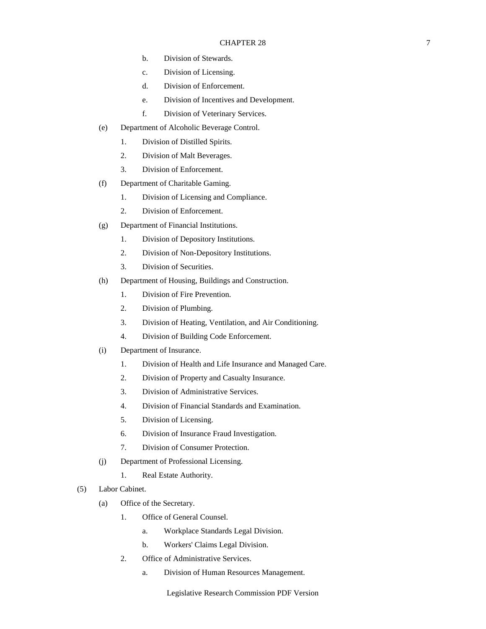- b. Division of Stewards.
- c. Division of Licensing.
- d. Division of Enforcement.
- e. Division of Incentives and Development.
- f. Division of Veterinary Services.
- (e) Department of Alcoholic Beverage Control.
	- 1. Division of Distilled Spirits.
	- 2. Division of Malt Beverages.
	- 3. Division of Enforcement.
- (f) Department of Charitable Gaming.
	- 1. Division of Licensing and Compliance.
	- 2. Division of Enforcement.
- (g) Department of Financial Institutions.
	- 1. Division of Depository Institutions.
	- 2. Division of Non-Depository Institutions.
	- 3. Division of Securities.
- (h) Department of Housing, Buildings and Construction.
	- 1. Division of Fire Prevention.
	- 2. Division of Plumbing.
	- 3. Division of Heating, Ventilation, and Air Conditioning.
	- 4. Division of Building Code Enforcement.
- (i) Department of Insurance.
	- 1. Division of Health and Life Insurance and Managed Care.
	- 2. Division of Property and Casualty Insurance.
	- 3. Division of Administrative Services.
	- 4. Division of Financial Standards and Examination.
	- 5. Division of Licensing.
	- 6. Division of Insurance Fraud Investigation.
	- 7. Division of Consumer Protection.
- (j) Department of Professional Licensing.
	- 1. Real Estate Authority.
- (5) Labor Cabinet.
	- (a) Office of the Secretary.
		- 1. Office of General Counsel.
			- a. Workplace Standards Legal Division.
			- b. Workers' Claims Legal Division.
		- 2. Office of Administrative Services.
			- a. Division of Human Resources Management.

Legislative Research Commission PDF Version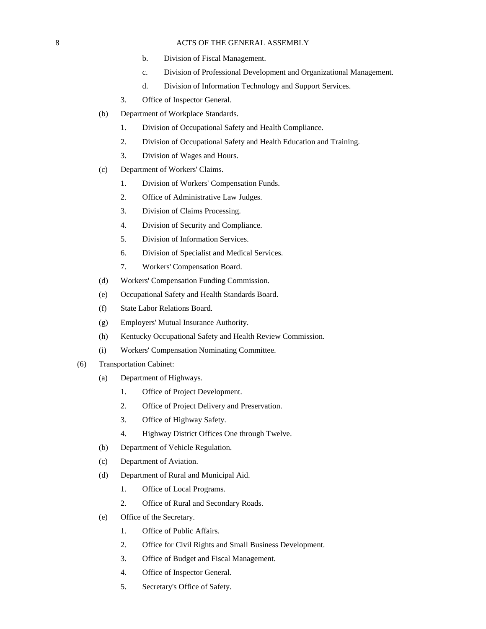- b. Division of Fiscal Management.
- c. Division of Professional Development and Organizational Management.
- d. Division of Information Technology and Support Services.
- 3. Office of Inspector General.
- (b) Department of Workplace Standards.
	- 1. Division of Occupational Safety and Health Compliance.
	- 2. Division of Occupational Safety and Health Education and Training.
	- 3. Division of Wages and Hours.
- (c) Department of Workers' Claims.
	- 1. Division of Workers' Compensation Funds.
	- 2. Office of Administrative Law Judges.
	- 3. Division of Claims Processing.
	- 4. Division of Security and Compliance.
	- 5. Division of Information Services.
	- 6. Division of Specialist and Medical Services.
	- 7. Workers' Compensation Board.
- (d) Workers' Compensation Funding Commission.
- (e) Occupational Safety and Health Standards Board.
- (f) State Labor Relations Board.
- (g) Employers' Mutual Insurance Authority.
- (h) Kentucky Occupational Safety and Health Review Commission.
- (i) Workers' Compensation Nominating Committee.
- (6) Transportation Cabinet:
	- (a) Department of Highways.
		- 1. Office of Project Development.
		- 2. Office of Project Delivery and Preservation.
		- 3. Office of Highway Safety.
		- 4. Highway District Offices One through Twelve.
	- (b) Department of Vehicle Regulation.
	- (c) Department of Aviation.
	- (d) Department of Rural and Municipal Aid.
		- 1. Office of Local Programs.
		- 2. Office of Rural and Secondary Roads.
	- (e) Office of the Secretary.
		- 1. Office of Public Affairs.
		- 2. Office for Civil Rights and Small Business Development.
		- 3. Office of Budget and Fiscal Management.
		- 4. Office of Inspector General.
		- 5. Secretary's Office of Safety.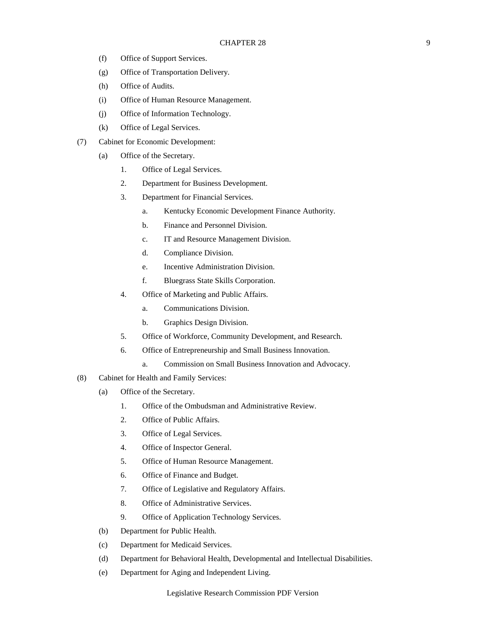- (f) Office of Support Services.
- (g) Office of Transportation Delivery.
- (h) Office of Audits.
- (i) Office of Human Resource Management.
- (j) Office of Information Technology.
- (k) Office of Legal Services.
- (7) Cabinet for Economic Development:
	- (a) Office of the Secretary.
		- 1. Office of Legal Services.
		- 2. Department for Business Development.
		- 3. Department for Financial Services.
			- a. Kentucky Economic Development Finance Authority.
			- b. Finance and Personnel Division.
			- c. IT and Resource Management Division.
			- d. Compliance Division.
			- e. Incentive Administration Division.
			- f. Bluegrass State Skills Corporation.
		- 4. Office of Marketing and Public Affairs.
			- a. Communications Division.
			- b. Graphics Design Division.
		- 5. Office of Workforce, Community Development, and Research.
		- 6. Office of Entrepreneurship and Small Business Innovation.
			- a. Commission on Small Business Innovation and Advocacy.
- (8) Cabinet for Health and Family Services:
	- (a) Office of the Secretary.
		- 1. Office of the Ombudsman and Administrative Review.
		- 2. Office of Public Affairs.
		- 3. Office of Legal Services.
		- 4. Office of Inspector General.
		- 5. Office of Human Resource Management.
		- 6. Office of Finance and Budget.
		- 7. Office of Legislative and Regulatory Affairs.
		- 8. Office of Administrative Services.
		- 9. Office of Application Technology Services.
	- (b) Department for Public Health.
	- (c) Department for Medicaid Services.
	- (d) Department for Behavioral Health, Developmental and Intellectual Disabilities.
	- (e) Department for Aging and Independent Living.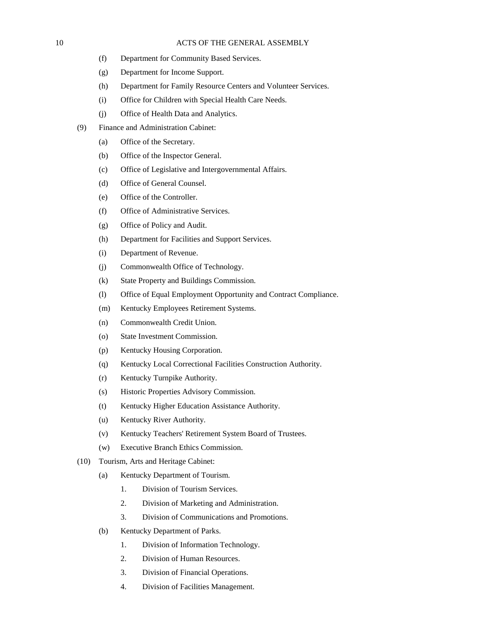- (f) Department for Community Based Services.
- (g) Department for Income Support.
- (h) Department for Family Resource Centers and Volunteer Services.
- (i) Office for Children with Special Health Care Needs.
- (j) Office of Health Data and Analytics.
- (9) Finance and Administration Cabinet:
	- (a) Office of the Secretary.
	- (b) Office of the Inspector General.
	- (c) Office of Legislative and Intergovernmental Affairs.
	- (d) Office of General Counsel.
	- (e) Office of the Controller.
	- (f) Office of Administrative Services.
	- (g) Office of Policy and Audit.
	- (h) Department for Facilities and Support Services.
	- (i) Department of Revenue.
	- (j) Commonwealth Office of Technology.
	- (k) State Property and Buildings Commission.
	- (l) Office of Equal Employment Opportunity and Contract Compliance.
	- (m) Kentucky Employees Retirement Systems.
	- (n) Commonwealth Credit Union.
	- (o) State Investment Commission.
	- (p) Kentucky Housing Corporation.
	- (q) Kentucky Local Correctional Facilities Construction Authority.
	- (r) Kentucky Turnpike Authority.
	- (s) Historic Properties Advisory Commission.
	- (t) Kentucky Higher Education Assistance Authority.
	- (u) Kentucky River Authority.
	- (v) Kentucky Teachers' Retirement System Board of Trustees.
	- (w) Executive Branch Ethics Commission.
- (10) Tourism, Arts and Heritage Cabinet:
	- (a) Kentucky Department of Tourism.
		- 1. Division of Tourism Services.
		- 2. Division of Marketing and Administration.
		- 3. Division of Communications and Promotions.
	- (b) Kentucky Department of Parks.
		- 1. Division of Information Technology.
		- 2. Division of Human Resources.
		- 3. Division of Financial Operations.
		- 4. Division of Facilities Management.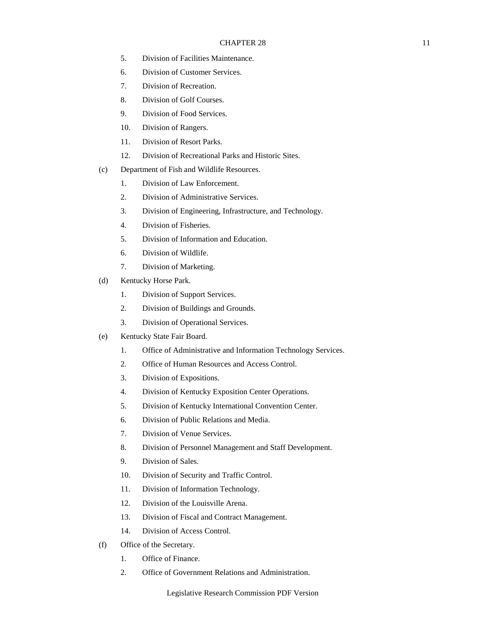- 5. Division of Facilities Maintenance.
- 6. Division of Customer Services.
- 7. Division of Recreation.
- 8. Division of Golf Courses.
- 9. Division of Food Services.
- 10. Division of Rangers.
- 11. Division of Resort Parks.
- 12. Division of Recreational Parks and Historic Sites.
- (c) Department of Fish and Wildlife Resources.
	- 1. Division of Law Enforcement.
	- 2. Division of Administrative Services.
	- 3. Division of Engineering, Infrastructure, and Technology.
	- 4. Division of Fisheries.
	- 5. Division of Information and Education.
	- 6. Division of Wildlife.
	- 7. Division of Marketing.
- (d) Kentucky Horse Park.
	- 1. Division of Support Services.
	- 2. Division of Buildings and Grounds.
	- 3. Division of Operational Services.
- (e) Kentucky State Fair Board.
	- 1. Office of Administrative and Information Technology Services.
	- 2. Office of Human Resources and Access Control.
	- 3. Division of Expositions.
	- 4. Division of Kentucky Exposition Center Operations.
	- 5. Division of Kentucky International Convention Center.
	- 6. Division of Public Relations and Media.
	- 7. Division of Venue Services.
	- 8. Division of Personnel Management and Staff Development.
	- 9. Division of Sales.
	- 10. Division of Security and Traffic Control.
	- 11. Division of Information Technology.
	- 12. Division of the Louisville Arena.
	- 13. Division of Fiscal and Contract Management.
	- 14. Division of Access Control.
- (f) Office of the Secretary.
	- 1. Office of Finance.
	- 2. Office of Government Relations and Administration.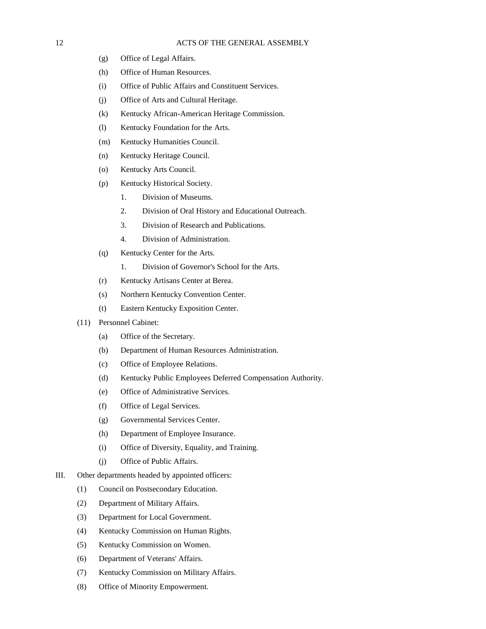- (g) Office of Legal Affairs.
- (h) Office of Human Resources.
- (i) Office of Public Affairs and Constituent Services.
- (j) Office of Arts and Cultural Heritage.
- (k) Kentucky African-American Heritage Commission.
- (l) Kentucky Foundation for the Arts.
- (m) Kentucky Humanities Council.
- (n) Kentucky Heritage Council.
- (o) Kentucky Arts Council.
- (p) Kentucky Historical Society.
	- 1. Division of Museums.
	- 2. Division of Oral History and Educational Outreach.
	- 3. Division of Research and Publications.
	- 4. Division of Administration.
- (q) Kentucky Center for the Arts.
	- 1. Division of Governor's School for the Arts.
- (r) Kentucky Artisans Center at Berea.
- (s) Northern Kentucky Convention Center.
- (t) Eastern Kentucky Exposition Center.
- (11) Personnel Cabinet:
	- (a) Office of the Secretary.
	- (b) Department of Human Resources Administration.
	- (c) Office of Employee Relations.
	- (d) Kentucky Public Employees Deferred Compensation Authority.
	- (e) Office of Administrative Services.
	- (f) Office of Legal Services.
	- (g) Governmental Services Center.
	- (h) Department of Employee Insurance.
	- (i) Office of Diversity, Equality, and Training.
	- (j) Office of Public Affairs.
- III. Other departments headed by appointed officers:
	- (1) Council on Postsecondary Education.
	- (2) Department of Military Affairs.
	- (3) Department for Local Government.
	- (4) Kentucky Commission on Human Rights.
	- (5) Kentucky Commission on Women.
	- (6) Department of Veterans' Affairs.
	- (7) Kentucky Commission on Military Affairs.
	- (8) Office of Minority Empowerment.